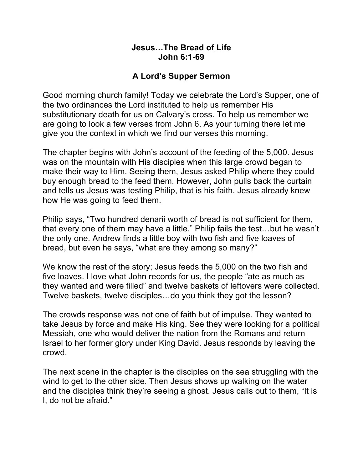## **Jesus…The Bread of Life John 6:1-69**

# **A Lord's Supper Sermon**

Good morning church family! Today we celebrate the Lord's Supper, one of the two ordinances the Lord instituted to help us remember His substitutionary death for us on Calvary's cross. To help us remember we are going to look a few verses from John 6. As your turning there let me give you the context in which we find our verses this morning.

The chapter begins with John's account of the feeding of the 5,000. Jesus was on the mountain with His disciples when this large crowd began to make their way to Him. Seeing them, Jesus asked Philip where they could buy enough bread to the feed them. However, John pulls back the curtain and tells us Jesus was testing Philip, that is his faith. Jesus already knew how He was going to feed them.

Philip says, "Two hundred denarii worth of bread is not sufficient for them, that every one of them may have a little." Philip fails the test…but he wasn't the only one. Andrew finds a little boy with two fish and five loaves of bread, but even he says, "what are they among so many?"

We know the rest of the story; Jesus feeds the 5,000 on the two fish and five loaves. I love what John records for us, the people "ate as much as they wanted and were filled" and twelve baskets of leftovers were collected. Twelve baskets, twelve disciples…do you think they got the lesson?

The crowds response was not one of faith but of impulse. They wanted to take Jesus by force and make His king. See they were looking for a political Messiah, one who would deliver the nation from the Romans and return Israel to her former glory under King David. Jesus responds by leaving the crowd.

The next scene in the chapter is the disciples on the sea struggling with the wind to get to the other side. Then Jesus shows up walking on the water and the disciples think they're seeing a ghost. Jesus calls out to them, "It is I, do not be afraid."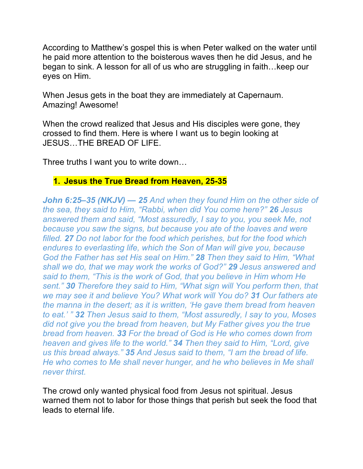According to Matthew's gospel this is when Peter walked on the water until he paid more attention to the boisterous waves then he did Jesus, and he began to sink. A lesson for all of us who are struggling in faith…keep our eyes on Him.

When Jesus gets in the boat they are immediately at Capernaum. Amazing! Awesome!

When the crowd realized that Jesus and His disciples were gone, they crossed to find them. Here is where I want us to begin looking at JESUS…THE BREAD OF LIFE.

Three truths I want you to write down…

#### **1. Jesus the True Bread from Heaven, 25-35**

*John 6:25–35 (NKJV) — 25 And when they found Him on the other side of the sea, they said to Him, "Rabbi, when did You come here?" 26 Jesus answered them and said, "Most assuredly, I say to you, you seek Me, not because you saw the signs, but because you ate of the loaves and were filled. 27 Do not labor for the food which perishes, but for the food which endures to everlasting life, which the Son of Man will give you, because God the Father has set His seal on Him." 28 Then they said to Him, "What shall we do, that we may work the works of God?" 29 Jesus answered and said to them, "This is the work of God, that you believe in Him whom He sent." 30 Therefore they said to Him, "What sign will You perform then, that we may see it and believe You? What work will You do? 31 Our fathers ate the manna in the desert; as it is written, 'He gave them bread from heaven to eat.' " 32 Then Jesus said to them, "Most assuredly, I say to you, Moses did not give you the bread from heaven, but My Father gives you the true bread from heaven. 33 For the bread of God is He who comes down from heaven and gives life to the world." 34 Then they said to Him, "Lord, give us this bread always." 35 And Jesus said to them, "I am the bread of life. He who comes to Me shall never hunger, and he who believes in Me shall never thirst.*

The crowd only wanted physical food from Jesus not spiritual. Jesus warned them not to labor for those things that perish but seek the food that leads to eternal life.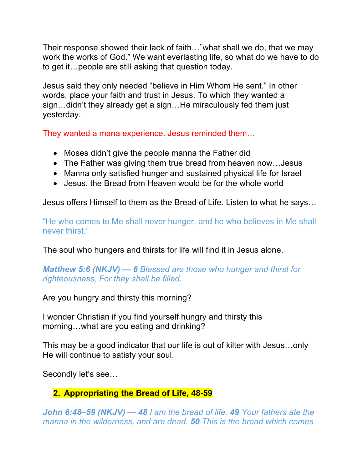Their response showed their lack of faith…"what shall we do, that we may work the works of God." We want everlasting life, so what do we have to do to get it…people are still asking that question today.

Jesus said they only needed "believe in Him Whom He sent." In other words, place your faith and trust in Jesus. To which they wanted a sign...didn't they already get a sign...He miraculously fed them just yesterday.

They wanted a mana experience. Jesus reminded them…

- Moses didn't give the people manna the Father did
- The Father was giving them true bread from heaven now...Jesus
- Manna only satisfied hunger and sustained physical life for Israel
- Jesus, the Bread from Heaven would be for the whole world

Jesus offers Himself to them as the Bread of Life. Listen to what he says…

"He who comes to Me shall never hunger, and he who believes in Me shall never thirst."

The soul who hungers and thirsts for life will find it in Jesus alone.

*Matthew 5:6 (NKJV) — 6 Blessed are those who hunger and thirst for righteousness, For they shall be filled.*

Are you hungry and thirsty this morning?

I wonder Christian if you find yourself hungry and thirsty this morning…what are you eating and drinking?

This may be a good indicator that our life is out of kilter with Jesus…only He will continue to satisfy your soul.

Secondly let's see…

# **2. Appropriating the Bread of Life, 48-59**

*John 6:48–59 (NKJV) — 48 I am the bread of life. 49 Your fathers ate the manna in the wilderness, and are dead. 50 This is the bread which comes*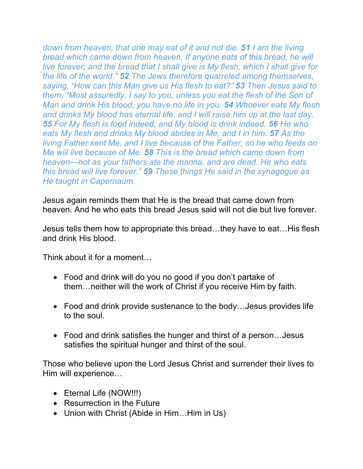*down from heaven, that one may eat of it and not die. 51 I am the living bread which came down from heaven. If anyone eats of this bread, he will live forever; and the bread that I shall give is My flesh, which I shall give for the life of the world." 52 The Jews therefore quarreled among themselves, saying, "How can this Man give us His flesh to eat?" 53 Then Jesus said to them, "Most assuredly, I say to you, unless you eat the flesh of the Son of Man and drink His blood, you have no life in you. 54 Whoever eats My flesh and drinks My blood has eternal life, and I will raise him up at the last day. 55 For My flesh is food indeed, and My blood is drink indeed. 56 He who eats My flesh and drinks My blood abides in Me, and I in him. 57 As the living Father sent Me, and I live because of the Father, so he who feeds on Me will live because of Me. 58 This is the bread which came down from heaven—not as your fathers ate the manna, and are dead. He who eats this bread will live forever." 59 These things He said in the synagogue as He taught in Capernaum.*

Jesus again reminds them that He is the bread that came down from heaven. And he who eats this bread Jesus said will not die but live forever.

Jesus tells them how to appropriate this bread…they have to eat…His flesh and drink His blood.

Think about it for a moment…

- Food and drink will do you no good if you don't partake of them…neither will the work of Christ if you receive Him by faith.
- Food and drink provide sustenance to the body…Jesus provides life to the soul.
- Food and drink satisfies the hunger and thirst of a person…Jesus satisfies the spiritual hunger and thirst of the soul.

Those who believe upon the Lord Jesus Christ and surrender their lives to Him will experience…

- Eternal Life (NOW!!!)
- Resurrection in the Future
- Union with Christ (Abide in Him...Him in Us)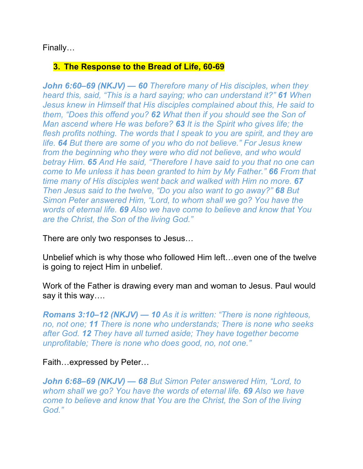## Finally…

## **3. The Response to the Bread of Life, 60-69**

*John 6:60–69 (NKJV) — 60 Therefore many of His disciples, when they heard this, said, "This is a hard saying; who can understand it?" 61 When Jesus knew in Himself that His disciples complained about this, He said to them, "Does this offend you? 62 What then if you should see the Son of Man ascend where He was before? 63 It is the Spirit who gives life; the flesh profits nothing. The words that I speak to you are spirit, and they are life. 64 But there are some of you who do not believe." For Jesus knew from the beginning who they were who did not believe, and who would betray Him. 65 And He said, "Therefore I have said to you that no one can come to Me unless it has been granted to him by My Father." 66 From that time many of His disciples went back and walked with Him no more. 67 Then Jesus said to the twelve, "Do you also want to go away?" 68 But Simon Peter answered Him, "Lord, to whom shall we go? You have the words of eternal life. 69 Also we have come to believe and know that You are the Christ, the Son of the living God."*

There are only two responses to Jesus…

Unbelief which is why those who followed Him left…even one of the twelve is going to reject Him in unbelief.

Work of the Father is drawing every man and woman to Jesus. Paul would say it this way….

*Romans 3:10–12 (NKJV) — 10 As it is written: "There is none righteous, no, not one; 11 There is none who understands; There is none who seeks after God. 12 They have all turned aside; They have together become unprofitable; There is none who does good, no, not one."*

#### Faith…expressed by Peter…

*John 6:68–69 (NKJV) — 68 But Simon Peter answered Him, "Lord, to whom shall we go? You have the words of eternal life. 69 Also we have come to believe and know that You are the Christ, the Son of the living God."*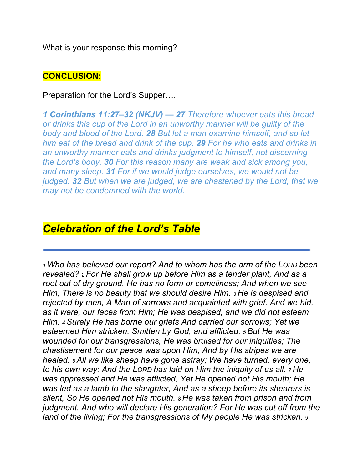What is your response this morning?

## **CONCLUSION:**

Preparation for the Lord's Supper….

*1 Corinthians 11:27–32 (NKJV) — 27 Therefore whoever eats this bread or drinks this cup of the Lord in an unworthy manner will be guilty of the body and blood of the Lord. 28 But let a man examine himself, and so let him eat of the bread and drink of the cup. 29 For he who eats and drinks in an unworthy manner eats and drinks judgment to himself, not discerning the Lord's body. 30 For this reason many are weak and sick among you, and many sleep. 31 For if we would judge ourselves, we would not be judged. 32 But when we are judged, we are chastened by the Lord, that we may not be condemned with the world.*

# *Celebration of the Lord's Table*

*1 Who has believed our report? And to whom has the arm of the LORD been revealed? 2 For He shall grow up before Him as a tender plant, And as a root out of dry ground. He has no form or comeliness; And when we see Him, There is no beauty that we should desire Him. 3 He is despised and rejected by men, A Man of sorrows and acquainted with grief. And we hid, as it were, our faces from Him; He was despised, and we did not esteem Him. 4 Surely He has borne our griefs And carried our sorrows; Yet we esteemed Him stricken, Smitten by God, and afflicted. 5 But He was wounded for our transgressions, He was bruised for our iniquities; The chastisement for our peace was upon Him, And by His stripes we are healed. 6 All we like sheep have gone astray; We have turned, every one, to his own way; And the LORD has laid on Him the iniquity of us all. 7 He was oppressed and He was afflicted, Yet He opened not His mouth; He was led as a lamb to the slaughter, And as a sheep before its shearers is silent, So He opened not His mouth. 8 He was taken from prison and from judgment, And who will declare His generation? For He was cut off from the land of the living; For the transgressions of My people He was stricken. 9*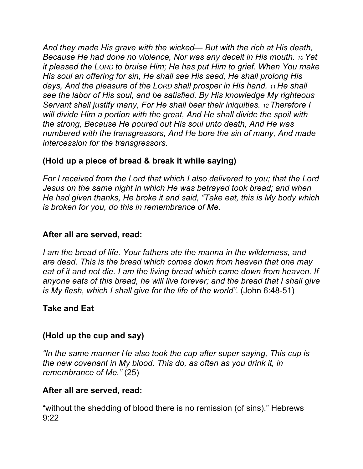*And they made His grave with the wicked— But with the rich at His death, Because He had done no violence, Nor was any deceit in His mouth. 10 Yet it pleased the LORD to bruise Him; He has put Him to grief. When You make His soul an offering for sin, He shall see His seed, He shall prolong His days, And the pleasure of the LORD shall prosper in His hand. 11 He shall see the labor of His soul, and be satisfied. By His knowledge My righteous Servant shall justify many, For He shall bear their iniquities. 12 Therefore I will divide Him a portion with the great, And He shall divide the spoil with the strong, Because He poured out His soul unto death, And He was numbered with the transgressors, And He bore the sin of many, And made intercession for the transgressors.* 

## **(Hold up a piece of bread & break it while saying)**

*For I received from the Lord that which I also delivered to you; that the Lord Jesus on the same night in which He was betrayed took bread; and when He had given thanks, He broke it and said, "Take eat, this is My body which is broken for you, do this in remembrance of Me.* 

## **After all are served, read:**

*I am the bread of life. Your fathers ate the manna in the wilderness, and are dead. This is the bread which comes down from heaven that one may eat of it and not die. I am the living bread which came down from heaven. If anyone eats of this bread, he will live forever; and the bread that I shall give is My flesh, which I shall give for the life of the world".* (John 6:48-51)

## **Take and Eat**

#### **(Hold up the cup and say)**

*"In the same manner He also took the cup after super saying, This cup is the new covenant in My blood. This do, as often as you drink it, in remembrance of Me."* (25)

## **After all are served, read:**

"without the shedding of blood there is no remission (of sins)." Hebrews 9:22